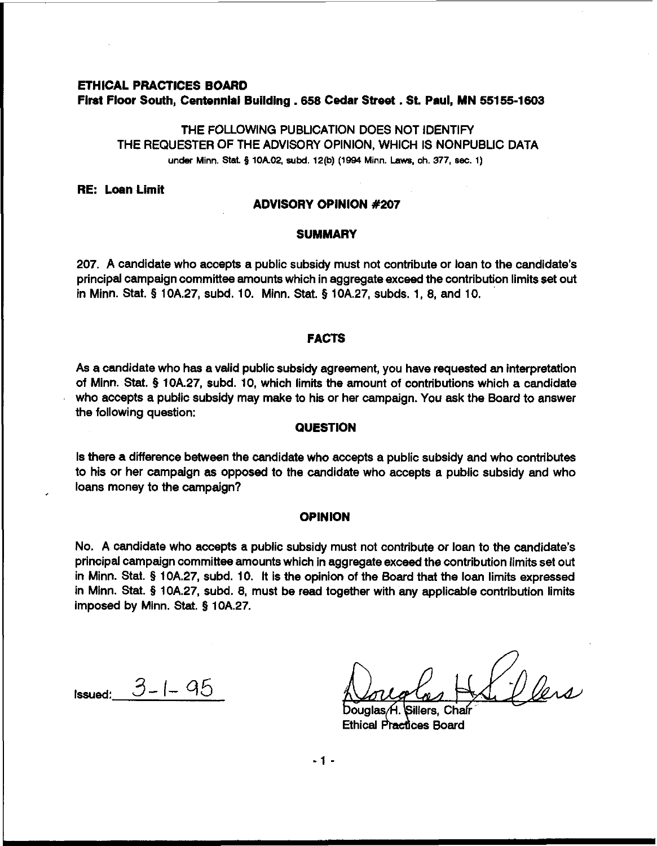# ETHICAL PRACTICES BOARD First Floor South, Centennlal Building . **658** Cedar Street . St Paul, MN 55155-1603

THE FOLLOWING PUBLICATION DOES NOT IDENTlFf THE REQUESTER OF THE ADVISORY OPINION, WHICH IS NONPUBLIC DATA under Minn. Stat. § 10A.02, subd. 12(b) (1994 Minn. Laws, ch. 377, sec. 1)

## RE: Loan Limit

## ADVISORY OPINION **#207**

### **SUMMARY**

207. A candidate who accepts a public subsidy must not contribute or loan to the candidate's principal campaign committee amounts which in aggregate exceed the contribution limits set out in Minn. Stat. **8** 10A.27, subd. 10. Minn. Stat. **5** 10A.27, subds. 1, 8, and 10.

#### FACTS

As a candidate who has a valid public subsidy agreement, you have requested an interpretation of Minn. Stat. **5** 10A.27, subd. 10, which limits the amount of contributions which a candidate who accepts a public subsidy may make to his or her campaign. You ask the Board to answer the following question:

## **QUESTION**

Is there a difference between the candidate who accepts a public subsidy and who contributes to his or her campaign as opposed to the candidate who accepts a public subsidy and who loans money to the campaign?

#### OPINION

No. A candidate who accepts a public subsidy must not contribute or loan to the candidate's principal campaign committee amounts which in aggregate exceed the contribution limits set out in Minn. Stat. **5** 10A.27, subd. 10. It is the opinion of the Board that the loan limits expressed in Minn. Stat. **5** 10A.27, subd. 8, must be read together with any applicable contribution limits imposed by Minn. Stat. **5** 10A.27.

**Issued:**  $3 - 1 - 95$ 

Ders

Ethical Practices Board

 $-1 -$